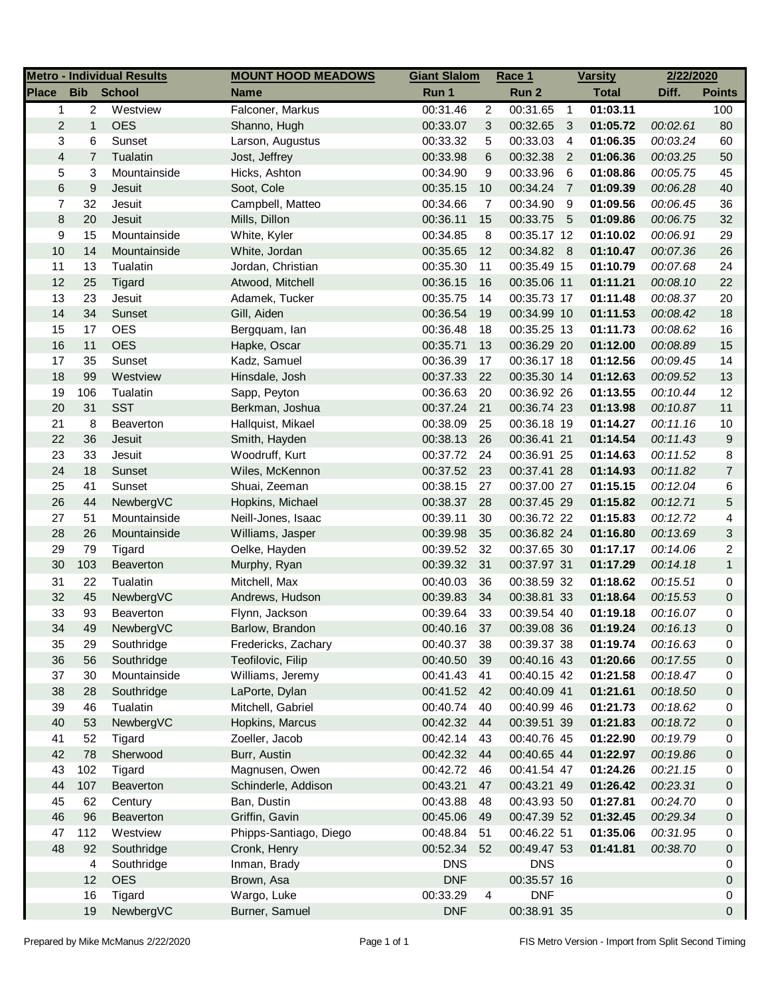|                |                  | <b>Metro - Individual Results</b> | <b>MOUNT HOOD MEADOWS</b> | <b>Giant Slalom</b> |                | Race 1      |                | <b>Varsity</b> | 2/22/2020 |                  |
|----------------|------------------|-----------------------------------|---------------------------|---------------------|----------------|-------------|----------------|----------------|-----------|------------------|
| <b>Place</b>   | <b>Bib</b>       | <b>School</b>                     | <b>Name</b>               | Run 1               |                | Run 2       |                | <b>Total</b>   | Diff.     | <b>Points</b>    |
| $\mathbf{1}$   | $\overline{2}$   | Westview                          | Falconer, Markus          | 00:31.46            | $\overline{c}$ | 00:31.65    | $\overline{1}$ | 01:03.11       |           | 100              |
| $\overline{c}$ | $\mathbf{1}$     | <b>OES</b>                        | Shanno, Hugh              | 00:33.07            | 3              | 00:32.65    | 3              | 01:05.72       | 00:02.61  | 80               |
| 3              | 6                | Sunset                            | Larson, Augustus          | 00:33.32            | 5              | 00:33.03    | $\overline{4}$ | 01:06.35       | 00:03.24  | 60               |
| 4              | $\overline{7}$   | Tualatin                          | Jost, Jeffrey             | 00:33.98            | 6              | 00:32.38    | $\overline{2}$ | 01:06.36       | 00:03.25  | 50               |
| 5              | 3                | Mountainside                      | Hicks, Ashton             | 00:34.90            | 9              | 00:33.96    | -6             | 01:08.86       | 00:05.75  | 45               |
| 6              | $\boldsymbol{9}$ | Jesuit                            | Soot, Cole                | 00:35.15            | 10             | 00:34.24    | $\overline{7}$ | 01:09.39       | 00:06.28  | 40               |
| 7              | 32               | Jesuit                            | Campbell, Matteo          | 00:34.66            | $\overline{7}$ | 00:34.90    | 9              | 01:09.56       | 00:06.45  | 36               |
| 8              | 20               | Jesuit                            | Mills, Dillon             | 00:36.11            | 15             | 00:33.75    | - 5            | 01:09.86       | 00:06.75  | 32               |
| 9              | 15               | Mountainside                      | White, Kyler              | 00:34.85            | 8              | 00:35.17 12 |                | 01:10.02       | 00:06.91  | 29               |
| 10             | 14               | Mountainside                      | White, Jordan             | 00:35.65            | 12             | 00:34.82 8  |                | 01:10.47       | 00:07.36  | 26               |
| 11             | 13               | Tualatin                          | Jordan, Christian         | 00:35.30            | 11             | 00:35.49 15 |                | 01:10.79       | 00:07.68  | 24               |
| 12             | 25               | Tigard                            | Atwood, Mitchell          | 00:36.15            | 16             | 00:35.06 11 |                | 01:11.21       | 00:08.10  | 22               |
| 13             | 23               | Jesuit                            | Adamek, Tucker            | 00:35.75            | 14             | 00:35.73 17 |                | 01:11.48       | 00:08.37  | 20               |
| 14             | 34               | Sunset                            | Gill, Aiden               | 00:36.54            | 19             | 00:34.99 10 |                | 01:11.53       | 00:08.42  | 18               |
| 15             | 17               | <b>OES</b>                        | Bergquam, lan             | 00:36.48            | 18             | 00:35.25 13 |                | 01:11.73       | 00:08.62  | 16               |
| 16             | 11               | <b>OES</b>                        | Hapke, Oscar              | 00:35.71            | 13             | 00:36.29 20 |                | 01:12.00       | 00:08.89  | 15               |
| 17             | 35               | Sunset                            | Kadz, Samuel              | 00:36.39            | 17             | 00:36.17 18 |                | 01:12.56       | 00:09.45  | 14               |
| 18             | 99               | Westview                          | Hinsdale, Josh            | 00:37.33            | 22             | 00:35.30 14 |                | 01:12.63       | 00:09.52  | 13               |
| 19             | 106              | Tualatin                          | Sapp, Peyton              | 00:36.63            | 20             | 00:36.92 26 |                | 01:13.55       | 00:10.44  | 12               |
| 20             | 31               | <b>SST</b>                        | Berkman, Joshua           | 00:37.24            | 21             | 00:36.74 23 |                | 01:13.98       | 00:10.87  | 11               |
| 21             | 8                | Beaverton                         | Hallquist, Mikael         | 00:38.09            | 25             | 00:36.18 19 |                | 01:14.27       | 00:11.16  | 10               |
| 22             | 36               | Jesuit                            | Smith, Hayden             | 00:38.13            | 26             | 00:36.41 21 |                | 01:14.54       | 00:11.43  | 9                |
| 23             | 33               | Jesuit                            | Woodruff, Kurt            | 00:37.72            | 24             | 00:36.91 25 |                | 01:14.63       | 00:11.52  | 8                |
| 24             | 18               | Sunset                            | Wiles, McKennon           | 00:37.52            | 23             | 00:37.41 28 |                | 01:14.93       | 00:11.82  | $\overline{7}$   |
| 25             | 41               | Sunset                            | Shuai, Zeeman             | 00:38.15            | 27             | 00:37.00 27 |                | 01:15.15       | 00:12.04  | 6                |
| 26             | 44               | NewbergVC                         | Hopkins, Michael          | 00:38.37            | 28             | 00:37.45 29 |                | 01:15.82       | 00:12.71  | 5                |
| 27             | 51               | Mountainside                      | Neill-Jones, Isaac        | 00:39.11            | 30             | 00:36.72 22 |                | 01:15.83       | 00:12.72  | 4                |
| 28             | 26               | Mountainside                      | Williams, Jasper          | 00:39.98            | 35             | 00:36.82 24 |                | 01:16.80       | 00:13.69  | 3                |
| 29             | 79               | Tigard                            | Oelke, Hayden             | 00:39.52            | 32             | 00:37.65 30 |                | 01:17.17       | 00:14.06  | 2                |
| 30             | 103              | Beaverton                         | Murphy, Ryan              | 00:39.32            | 31             | 00:37.97 31 |                | 01:17.29       | 00:14.18  | $\mathbf{1}$     |
| 31             | 22               | Tualatin                          | Mitchell, Max             | 00:40.03            | 36             | 00:38.59 32 |                | 01:18.62       | 00:15.51  | 0                |
| 32             | 45               | NewbergVC                         | Andrews, Hudson           | 00:39.83            | 34             | 00:38.81 33 |                | 01:18.64       | 00:15.53  | $\boldsymbol{0}$ |
| 33             | 93               | <b>Beaverton</b>                  | Flynn, Jackson            | 00:39.64            | 33             | 00:39.54 40 |                | 01:19.18       | 00:16.07  | 0                |
| 34             | 49               | NewbergVC                         | Barlow, Brandon           | 00:40.16            | 37             | 00:39.08 36 |                | 01:19.24       | 00:16.13  | $\Omega$         |
| 35             | 29               | Southridge                        | Fredericks, Zachary       | 00:40.37            | 38             | 00:39.37 38 |                | 01:19.74       | 00:16.63  | 0                |
| 36             | 56               | Southridge                        | Teofilovic, Filip         | 00:40.50            | 39             | 00:40.16 43 |                | 01:20.66       | 00:17.55  | 0                |
| 37             | 30               | Mountainside                      | Williams, Jeremy          | 00:41.43            | 41             | 00:40.15 42 |                | 01:21.58       | 00:18.47  | 0                |
| 38             | 28               | Southridge                        | LaPorte, Dylan            | 00:41.52            | - 42           | 00:40.09 41 |                | 01:21.61       | 00:18.50  | 0                |
| 39             | 46               | Tualatin                          | Mitchell, Gabriel         | 00:40.74            | 40             | 00:40.99 46 |                | 01:21.73       | 00:18.62  | 0                |
| 40             | 53               | NewbergVC                         | Hopkins, Marcus           | 00:42.32            | 44             | 00:39.51 39 |                | 01:21.83       | 00:18.72  | 0                |
| 41             | 52               | Tigard                            | Zoeller, Jacob            | 00:42.14            | 43             | 00:40.76 45 |                | 01:22.90       | 00:19.79  | 0                |
| 42             | 78               | Sherwood                          | Burr, Austin              | 00:42.32            | 44             | 00:40.65 44 |                | 01:22.97       | 00:19.86  | 0                |
| 43             | 102              | Tigard                            | Magnusen, Owen            | 00:42.72            | 46             | 00:41.54 47 |                | 01:24.26       | 00:21.15  | 0                |
| 44             | 107              | Beaverton                         | Schinderle, Addison       | 00:43.21            | 47             | 00:43.21 49 |                | 01:26.42       | 00:23.31  | 0                |
| 45             | 62               | Century                           | Ban, Dustin               | 00:43.88            | 48             | 00:43.93 50 |                | 01:27.81       | 00:24.70  | 0                |
| 46             | 96               | Beaverton                         | Griffin, Gavin            | 00:45.06            | 49             | 00:47.39 52 |                | 01:32.45       | 00:29.34  | 0                |
| 47             | 112              | Westview                          | Phipps-Santiago, Diego    | 00:48.84            | 51             | 00:46.22 51 |                | 01:35.06       | 00:31.95  | 0                |
| 48             | 92               | Southridge                        | Cronk, Henry              | 00:52.34            | 52             | 00:49.47 53 |                | 01:41.81       | 00:38.70  | 0                |
|                | 4                | Southridge                        | Inman, Brady              | <b>DNS</b>          |                | <b>DNS</b>  |                |                |           | 0                |
|                | 12               | <b>OES</b>                        | Brown, Asa                | <b>DNF</b>          |                | 00:35.57 16 |                |                |           | 0                |
|                | 16               | Tigard                            | Wargo, Luke               | 00:33.29            | 4              | <b>DNF</b>  |                |                |           | 0                |
|                | 19               | NewbergVC                         | Burner, Samuel            | <b>DNF</b>          |                | 00:38.91 35 |                |                |           | 0                |